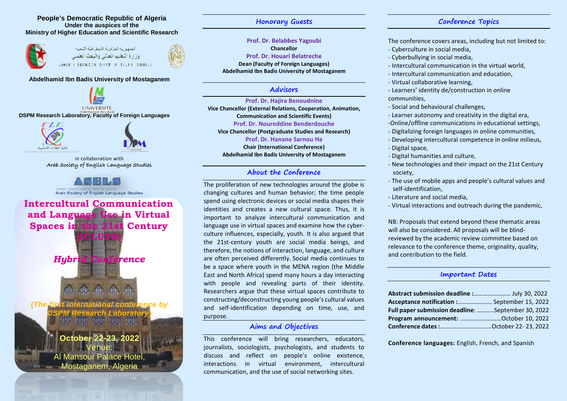#### **People's Democratic Republic of Algeria Under the auspices of the Ministry of Higher Education and Scientific Research**





#### **Abdelhamid Ibn Badis University of Mostaganem**

**UNIVERSITE DSPM Research Laboratory, Faculty of Foreign Languages**





in collaboration with Arab Society of English Language Studies



**Intercultural Communication and Language Use in Virtual Spaces in the 21st Century (ICLUVS)** *Hybrid Conference*

**(***The first international conference by DSPM Research Laboratory***)**

I

## **October 22-23, 2022** Venue: Al Mansour Palace Hotel, Mostaganem, Algeria

**Honorary Guests**

## **Prof. Dr. Belabbes Yagoubi Chancellor**

**Prof. Dr. Houari Belatreche Dean (Faculty of Foreign Languages) Abdelhamid Ibn Badis University of Mostaganem**

## **Advisors**

#### **Prof. Dr. Hajira Benoudnine**

**Vice Chancellor (External Relations, Cooperation, Animation, Communication and Scientific Events) Prof. Dr. Noureddine Benderdouche Vice Chancellor (Postgraduate Studies and Research) Prof. Dr. Hanane Sarnou Ha Chair (International Conference) Abdelhamid Ibn Badis University of Mostaganem**

## **About the Conference**

The proliferation of new technologies around the globe is changing cultures and human behavior; the time people spend using electronic devices or social media shapes their identities and creates a new cultural space. Thus, it is important to analyze intercultural communication and language use in virtual spaces and examine how the cyberculture influences, especially, youth. It is also argued that the 21st-century youth are social media beings, and therefore, the notions of interaction, language, and culture are often perceived differently. Social media continues to be a space where youth in the MENA region (the Middle East and North Africa) spend many hours a day interacting with people and revealing parts of their identity. Researchers argue that these virtual spaces contribute to constructing/deconstructing young people's cultural values and self-identification depending on time, use, and purpose.

## **Aims and Objectives**

This conference will bring researchers, educators, journalists, sociologists, psychologists, and students to discuss and reflect on people's online existence, interactions in virtual environment, intercultural communication, and the use of social networking sites.

## **Conference Topics**

The conference covers areas, including but not limited to:

- Cyberculture in social media,
- Cyberbullying in social media,
- Intercultural communication in the virtual world,
- Intercultural communication and education,
- Virtual collaborative learning,
- Learners' identity de/construction in online communities,
- Social and behavioural challenges,
- Learner autonomy and creativity in the digital era,
- -Online/offline communications in educational settings,
- Digitalizing foreign languages in online communities,
- Developing intercultural competence in online milieus, - Digital space,
- Digital humanities and culture,
- New technologies and their impact on the 21st Century society,
- The use of mobile apps and people's cultural values and self-identification,
- Literature and social media,
- Virtual interactions and outreach during the pandemic,

NB: Proposals that extend beyond these thematic areas will also be considered. All proposals will be blindreviewed by the academic review committee based on relevance to the conference theme, originality, quality, and contribution to the field.

## **Important Dates**

| Abstract submission deadline : July 30, 2022              |  |
|-----------------------------------------------------------|--|
| Acceptance notification : September 15, 2022              |  |
| <b>Full paper submission deadline:</b> September 30, 2022 |  |
| Program announcement: October 10, 2022                    |  |
|                                                           |  |

**Conference languages:** English, French, and Spanish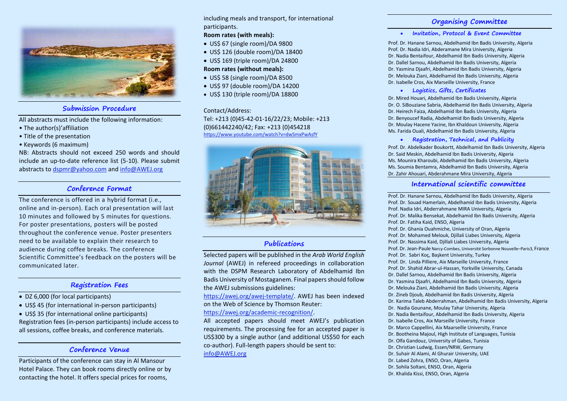

## **Submission Procedure**

All abstracts must include the following information:

- The author(s)'affiliation
- Title of the presentation
- Keywords (6 maximum)

NB: Abstracts should not exceed 250 words and should include an up-to-date reference list (5-10). Please submit abstracts to [dspmr@yahoo.com](mailto:dspmr@yahoo.com) and [info@AWEJ.org](mailto:info@AWEJ.org)

## **Conference Format**

The conference is offered in a hybrid format (i.e., online and in-person). Each oral presentation will last 10 minutes and followed by 5 minutes for questions. For poster presentations, posters will be posted throughout the conference venue. Poster presenters need to be available to explain their research to audience during coffee breaks. The conference Scientific Committee's feedback on the posters will be communicated later.

## **Registration Fees**

- DZ 6,000 (for local participants)
- US\$ 45 (for international in-person participants)
- US\$ 35 (for international online participants) Registration fees (in-person participants) include access to all sessions, coffee breaks, and conference materials.

## **Conference Venue**

Participants of the conference can stay in Al Mansour Hotel Palace. They can book rooms directly online or by contacting the hotel. It offers special prices for rooms,

including meals and transport, for international participants.

#### **Room rates (with meals):**

- US\$ 67 (single room)/DA 9800
- US\$ 126 (double room)/DA 18400
- US\$ 169 (triple room)/DA 24800 **Room rates (without meals):**

- US\$ 58 (single room)/DA 8500
- US\$ 97 (double room)/DA 14200
- US\$ 130 (triple room)/DA 18800

### Contact/Address: Tel: +213 (0)45-42-01-16/22/23; Mobile: +213 (0)661442240/42; Fax: +213 (0)454218

<https://www.youtube.com/watch?v=dwSmxPwAsfY>



## **Publications**

Selected papers will be published in the *Arab World English Journal* (AWEJ) in refereed proceedings in collaboration with the DSPM Research Laboratory of Abdelhamid Ibn Badis University of Mostaganem. Final papers should follow the AWEJ submissions guidelines:

[https://awej.org/awej-template/.](https://awej.org/awej-template/) AWEJ has been indexed on the Web of Science by Thomson Reuter:

#### [https://awej.org/academic-recognition/.](https://awej.org/academic-recognition/)

All accepted papers should meet AWEJ's publication requirements. The processing fee for an accepted paper is US\$300 by a single author (and additional US\$50 for each co-author). Full-length papers should be sent to: [info@AWEJ.org](mailto:info@AWEJ.org)

## **Organising Committee**

#### **Invitation, Protocol & Event Committee**

Prof. Dr. Hanane Sarnou, Abdelhamid Ibn Badis University, Algeria Prof. Dr. Nadia Idri, Abderamane Mira University, Algeria Dr. Nadia Bentaifour, Abdelhamid Ibn Badis University, Algeria Dr. Dallel Sarnou, Abdelhamid Ibn Badis University, Algeria Dr. Yasmina Djaafri, Abdelhamid Ibn Badis University, Algeria Dr. Melouka Ziani, Abdelhamid Ibn Badis University, Algeria Dr. Isabelle Cros, Aix Marseille University, France

#### **Logistics, Gifts, Certificates**

Dr. Mired Houari, Abdelhamid Ibn Badis University, Algeria Dr. O. SiBouziane Sabria, Abdelhamid Ibn Badis University, Algeria Dr. Heirech Faiza, Abdelhamid Ibn Badis University, Algeria Dr. Benyoucef Radia, Abdelhamid Ibn Badis University, Algeria Dr. Moulay Hacene Yacine, Ibn Khaldoun University, Algeria Ms. Farida Ouali, Abdelhamid Ibn Badis University, Algeria

#### **Registration, Technical, and Publicity**

Prof. Dr. Abdelkader Boukortt, Abdelhamid Ibn Badis University, Algeria Dr. Said Meskin, Abdelhamid Ibn Badis University, Algeria Ms. Mounira Kharoubi, Abdelhamid Ibn Badis University, Algeria Ms. Soumia Bentamra, Abdelhamid Ibn Badis University, Algeria Dr. Zahir Ahouari, Abderahmane Mira University, Algeria

### **International scientific committee**

Prof. Dr. Hanane Sarnou, Abdelhamid Ibn Badis University, Algeria Prof. Dr. Souad Hamerlain, Abdelhamid Ibn Badis University, Algeria Prof. Nadia Idri, Abderrahmane MIRA University, Algeria Prof. Dr. Malika Bensekat, Abdelhamid Ibn Badis University, Algeria Prof. Dr. Fatiha Kaid, ENSO, Algeria Prof. Dr. Ghania Ouahmiche, University of Oran, Algeria Prof. Dr. Mohamed Melouk, Djillali Liabes University, Algeria Prof. Dr. Nassima Kaid, Djillali Liabes University, Algeria Prof. Dr. Jean-Paule Narcy-Combes, Université Sorbonne Nouvelle–Paris3, France Prof. Dr. Sabri Koç, Başkent University, Turkey Prof. Dr. Linda Pilliere, Aix Marseille University, France Prof. Dr. Shahid Abrar-ul-Hassan, Yorkville University, Canada Dr. Dallel Sarnou, Abdelhamid Ibn Badis University, Algeria Dr. Yasmina Djaafri, Abdelhamid Ibn Badis University, Algeria Dr. Melouka Ziani, Abdelhamid Ibn Badis University, Algeria Dr. Zineb Djoub, Abdelhamid Ibn Badis University, Algeria Dr. Karima Taleb Abderrahman, Abdelhamid Ibn Badis University, Algeria Dr. Nadia Gounane, Moulay Tahar University, Algeria Dr. Nadia Bentaifour, Abdelhamid Ibn Badis University, Algeria Dr. Isabelle Cros, Aix Marseille University, France Dr. Marco Cappellini, Aix Maarseille University, France Dr. Bootheina Majoul, High Institute of Languages, Tunisia Dr. Olfa Gandouz, University of Gabes, Tunisia Dr. Christian Ludwig, Essen/NRW, Germany Dr. Suhair Al Alami, Al Ghurair University, UAE Dr. Labed Zohra, ENSO, Oran, Algeria Dr. Sohila Soltani, ENSO, Oran, Algeria Dr. Khalida Kissi, ENSO, Oran, Algeria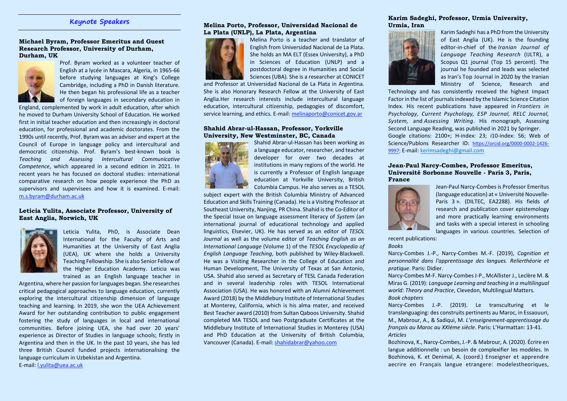## **Keynote Speakers**

#### **Michael Byram, Professor Emeritus and Guest Research Professor, University of Durham, Durham, UK**



Prof. Byram worked as a volunteer teacher of English at a lycée in Mascara, Algeria, in 1965-66 before studying languages at King's College Cambridge, including a PhD in Danish literature. He then began his professional life as a teacher of foreign languages in secondary education in

England, complemented by work in adult education, after which he moved to Durham University School of Education. He worked first in initial teacher education and then increasingly in doctoral education, for professional and academic doctorates. From the 1990s until recently, Prof. Byram was an adviser and expert at the Council of Europe in language policy and intercultural and democratic citizenship. Prof. Byram's best-known book is *Teaching and Assessing Intercultural Communicative Competence*, which appeared in a second edition in 2021. In recent years he has focused on doctoral studies: international comparative research on how people experience the PhD as supervisors and supervisees and how it is examined. E-mail: [m.s.byram@durham.ac.uk](mailto:m.s.byram@durham.ac.uk)

#### **Leticia Yulita, Associate Professor, University of East Anglia, Norwich, UK**



Leticia Yulita, PhD, is Associate Dean International for the Faculty of Arts and Humanities at the University of East Anglia (UEA), UK where she holds a University Teaching Fellowship. She is also Senior Fellow of the Higher Education Academy. Leticia was trained as an English language teacher in

Argentina, where her passion for languages began. She researches critical pedagogical approaches to language education, currently exploring the intercultural citizenship dimension of language teaching and learning. In 2019, she won the UEA Achievement Award for her outstanding contribution to public engagement fostering the study of languages in local and international communities. Before joining UEA, she had over 20 years' experience as Director of Studies in language schools; firstly in Argentina and then in the UK. In the past 10 years, she has led three British Council funded projects internationalising the language curriculum in Uzbekistan and Argentina. E-mail: [l.yulita@uea.ac.uk](mailto:l.yulita@uea.ac.uk)

#### **Melina Porto, Professor, Universidad Nacional de La Plata (UNLP), La Plata, Argentina**



Melina Porto is a teacher and translator of English from Universidad Nacional de La Plata. She holds an MA ELT (Essex University), a PhD in Sciences of Education (UNLP) and a postdoctoral degree in Humanities and Social Sciences (UBA). She is a researcher at CONICET

and Professor at Universidad Nacional de La Plata in Argentina. She is also Honorary Research Fellow at the University of East Anglia.Her research interests include intercultural language education, intercultural citizenship, pedagogies of discomfort, service learning, and ethics. E-mail: [melinaporto@conicet.gov.ar](mailto:melinaporto@conicet.gov.ar)

#### **Shahid Abrar-ul-Hassan, Professor, Yorkville University, New Westminster, BC, Canada**



Shahid Abrar-ul-Hassan has been working as a language educator, researcher, and teacher developer for over two decades at institutions in many regions of the world. He is currently a Professor of English language education at Yorkville University, British Columbia Campus. He also serves as a TESOL

subject expert with the British Columbia Ministry of Advanced Education and Skills Training (Canada). He is a Visiting Professor at Southeast University, Nanjing, PR China. Shahid is the Co-Editor of the Special Issue on language assessment literacy of *System* (an international journal of educational technology and applied linguistics, Elsevier, UK). He has served as an editor of *TESOL Journal* as well as the volume editor of *Teaching English as an International Language* (Volume 1) of the *TESOL Encyclopedia of English Language Teaching*, both published by Wiley-Blackwell. He was a Visiting Researcher in the College of Education and Human Development, The University of Texas at San Antonio, USA. Shahid also served as Secretary of TESL Canada Federation and in several leadership roles with TESOL International Association (USA). He was honored with an Alumni Achievement Award (2018) by the Middlebury Institute of International Studies at Monterey, California, which is his alma mater, and received Best Teacher award (2010) from Sultan Qaboos University. Shahid completed MA TESOL and two Postgraduate Certificates at the Middlebury Institute of International Studies in Monterey (USA) and PhD Education at the University of British Columbia, Vancouver (Canada). E-mail[: shahidabrar@yahoo.com](mailto:shahidabrar@yahoo.com)

#### **Karim Sadeghi, Professor, Urmia University, Urmia, Iran**



Karim Sadeghi has a PhD from the University of East Anglia (UK). He is the founding editor-in-chief of the *Iranian Journal of Language Teaching Research* (IJLTR), a Scopus Q1 journal (Top 15 percent). The journal he founded and leads was selected as Iran's Top Journal in 2020 by the Iranian Ministry of Science, Research and

Technology and has consistently received the highest Impact Factor in the list of journals indexed by the Islamic Science Citation Index. His recent publications have appeared in *Frontiers in Psychology, Current Psychology, ESP Journal, RELC Journal, System,* and *Assessing Writing*. His monograph, Assessing Second Language Reading, was published in 2021 by Springer. Google citations: 2100+; H-index: 23; i10-index: 56; Web of Science/Publons Researcher ID: [https://orcid.org/0000-0002-1426-](https://orcid.org/0000-0002-1426-9997) [9997;](https://orcid.org/0000-0002-1426-9997) E-mail[: kerimsadeghi@gmail.com](mailto:kerimsadeghi@gmail.com)

#### **Jean-Paul Narcy-Combes, Professor Emeritus, Université Sorbonne Nouvelle - Paris 3, Paris, France**



Jean-Paul Narcy-Combes is Professor Emeritus (language education) at « Université Nouvelle-Paris 3 ». (DILTEC, EA2288). His fields of research and publication cover epistemology and more practically learning environments and tasks with a special interest in schooling languages in various countries. Selection of

recent publications: *Books*

Narcy-Combes J.-P., Narcy-Combes M.-F. (2019), *Cognition et personnalité dans l'apprentissage des langues. Relierthéorie et pratique*. Paris: Didier.

Narcy-Combes M-F. Narcy-Combes J-P., McAllister J., Leclère M. & Miras G. (2019): *Language Learning and teaching in a multilingual world: Theory and Practice*, Clevedon, Multilingual Matters. *Book chapters*

Narcy-Combes J.-P. (2019). Le transculturing et le translanguaging: des construits pertinents au Maroc, in Essaouuri, M., Mabrour, A., & Sadiqui, M. *L'enseignement-apprentissage du français au Maroc au XXIème siècle*. Paris: L'Harmattan: 13-41. *Articles*

Bozhinova, K., Narcy-Combes, J.-P. & Mabrour, A. (2020). Écrire en langue additionnelle : un besoin de complexifier les modèles. In Bozhinova, K. et Denimal, A. (coord.) Enseigner et apprendre aecrire en Français langue etrangere: modelestheoriques,